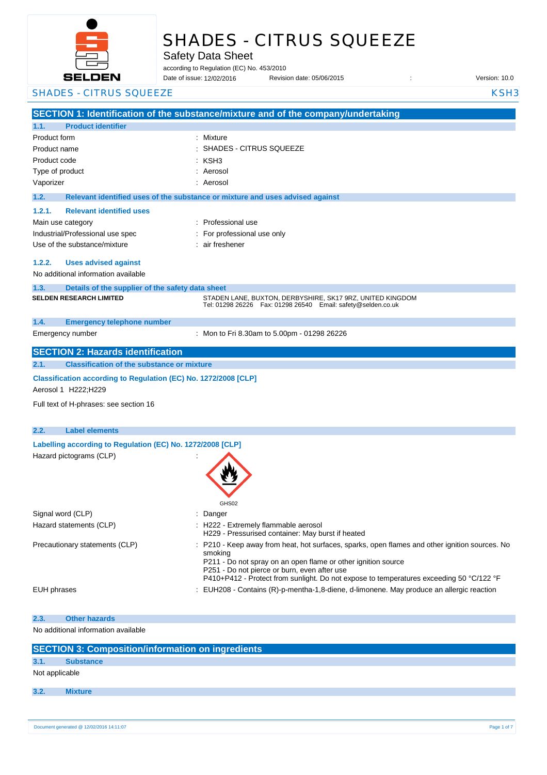

# SHADES - CITRUS SQUEEZE

Safety Data Sheet

according to Regulation (EC) No. 453/2010

Date of issue: Revision date: 05/06/2015 : Version: 10.0 12/02/2016

**SECTION 1: Identification of the substance/mixture and of the company/undertaking 1.1. Product identifier** Product form : Nixture : Mixture Product name : Product code : Type of product in the set of the set of the set of the set of the set of the set of the set of the set of the set of the set of the set of the set of the set of the set of the set of the set of the set of the set of the s Vaporizer : Aerosol **1.2. Relevant identified uses of the substance or mixture and uses advised against 1.2.1. Relevant identified uses**  Main use category **Example 20** and the Professional use Industrial/Professional use spec : For professional use only Use of the substance/mixture : air freshener **1.2.2. Uses advised against** No additional information available **1.3. Details of the supplier of the safety data sheet 1.4. Emergency telephone number** Emergency number : **SECTION 2: Hazards identification 2.1. Classification of the substance or mixture Classification according to Regulation (EC) No. 1272/2008 [CLP]** Aerosol 1 H222;H229 Full text of H-phrases: see section 16 **2.2. Label elements Labelling according to Regulation (EC) No. 1272/2008 [CLP]** Hazard pictograms (CLP) : GHS02 Signal word (CLP)  $\qquad \qquad$ : Danger Hazard statements (CLP)  $\qquad \qquad$  : H222 - Extremely flammable aerosol H229 - Pressurised container: May burst if heated Precautionary statements (CLP) : P210 - Keep away from heat, hot surfaces, sparks, open flames and other ignition sources. No smoking P211 - Do not spray on an open flame or other ignition source P251 - Do not pierce or burn, even after use P410+P412 - Protect from sunlight. Do not expose to temperatures exceeding 50 °C/122 °F EUH phrases **in the state of the EUH208** - Contains (R)-p-mentha-1,8-diene, d-limonene. May produce an allergic reaction **2.3. Other hazards** No additional information available **SECTION 3: Composition/information on ingredients 3.1. Substance** Not applicable **3.2. Mixture** SHADES - CITRUS SQUEEZE KSH3 SHADES - CITRUS SQUEEZE : KSH3 **SELDEN RESEARCH LIMITED** STADEN LANE, BUXTON, DERBYSHIRE, SK17 9RZ, UNITED KINGDOM Tel: 01298 26226 Fax: 01298 26540 Email: safety@selden.co.uk Mon to Fri 8.30am to 5.00pm - 01298 26226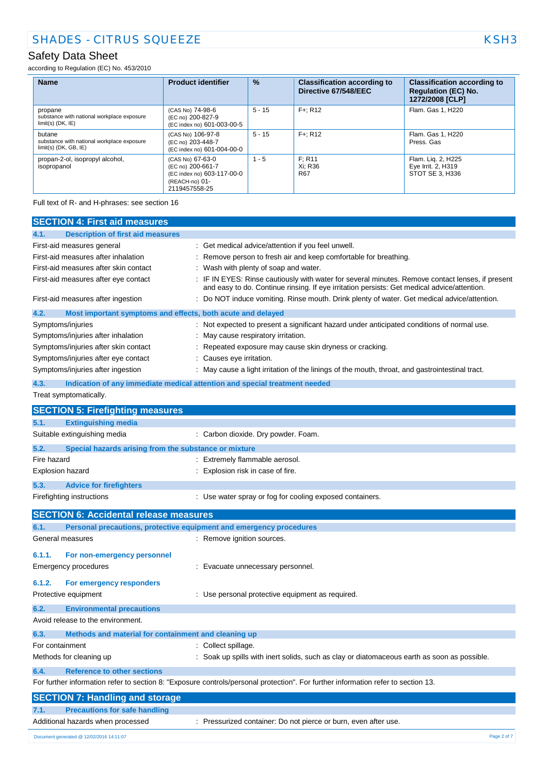according to Regulation (EC) No. 453/2010

| <b>Name</b>                                                                     | <b>Product identifier</b>                                                                              | $\frac{9}{6}$ | <b>Classification according to</b><br>Directive 67/548/EEC | <b>Classification according to</b><br><b>Regulation (EC) No.</b><br>1272/2008 [CLP] |
|---------------------------------------------------------------------------------|--------------------------------------------------------------------------------------------------------|---------------|------------------------------------------------------------|-------------------------------------------------------------------------------------|
| propane<br>substance with national workplace exposure<br>$limit(s)$ (DK, $IE$ ) | (CAS No) 74-98-6<br>(EC no) 200-827-9<br>(EC index no) 601-003-00-5                                    | $5 - 15$      | $F +: R12$                                                 | Flam, Gas 1, H220                                                                   |
| butane<br>substance with national workplace exposure<br>$limit(s)$ (DK, GB, IE) | (CAS No) 106-97-8<br>(EC no) 203-448-7<br>(EC index no) 601-004-00-0                                   | $5 - 15$      | $F +: R12$                                                 | Flam, Gas 1, H220<br>Press, Gas                                                     |
| propan-2-ol, isopropyl alcohol,<br>isopropanol                                  | (CAS No) 67-63-0<br>(EC no) 200-661-7<br>(EC index no) 603-117-00-0<br>(REACH-no) 01-<br>2119457558-25 | $1 - 5$       | F: R11<br>Xi: R36<br><b>R67</b>                            | Flam. Lig. 2, H225<br>Eye Irrit. 2, H319<br>STOT SE 3, H336                         |

Full text of R- and H-phrases: see section 16

| <b>SECTION 4: First aid measures</b>                          |                                                                                                                                                                                                 |
|---------------------------------------------------------------|-------------------------------------------------------------------------------------------------------------------------------------------------------------------------------------------------|
| 4.1.<br><b>Description of first aid measures</b>              |                                                                                                                                                                                                 |
| First-aid measures general                                    | : Get medical advice/attention if you feel unwell.                                                                                                                                              |
| First-aid measures after inhalation                           | Remove person to fresh air and keep comfortable for breathing.                                                                                                                                  |
| First-aid measures after skin contact                         | Wash with plenty of soap and water.                                                                                                                                                             |
| First-aid measures after eye contact                          | : IF IN EYES: Rinse cautiously with water for several minutes. Remove contact lenses, if present<br>and easy to do. Continue rinsing. If eye irritation persists: Get medical advice/attention. |
| First-aid measures after ingestion                            | : Do NOT induce vomiting. Rinse mouth. Drink plenty of water. Get medical advice/attention.                                                                                                     |
| 4.2.                                                          | Most important symptoms and effects, both acute and delayed                                                                                                                                     |
| Symptoms/injuries                                             | : Not expected to present a significant hazard under anticipated conditions of normal use.                                                                                                      |
| Symptoms/injuries after inhalation                            | May cause respiratory irritation.                                                                                                                                                               |
| Symptoms/injuries after skin contact                          | Repeated exposure may cause skin dryness or cracking.                                                                                                                                           |
| Symptoms/injuries after eye contact                           | Causes eye irritation.                                                                                                                                                                          |
| Symptoms/injuries after ingestion                             | : May cause a light irritation of the linings of the mouth, throat, and gastrointestinal tract.                                                                                                 |
| 4.3.                                                          | Indication of any immediate medical attention and special treatment needed                                                                                                                      |
| Treat symptomatically.                                        |                                                                                                                                                                                                 |
| <b>SECTION 5: Firefighting measures</b>                       |                                                                                                                                                                                                 |
| 5.1.<br><b>Extinguishing media</b>                            |                                                                                                                                                                                                 |
| Suitable extinguishing media                                  | : Carbon dioxide. Dry powder. Foam.                                                                                                                                                             |
| 5.2.<br>Special hazards arising from the substance or mixture |                                                                                                                                                                                                 |
| Fire hazard                                                   | : Extremely flammable aerosol.                                                                                                                                                                  |
| <b>Explosion hazard</b>                                       | : Explosion risk in case of fire.                                                                                                                                                               |
| 5.3.<br><b>Advice for firefighters</b>                        |                                                                                                                                                                                                 |
| Firefighting instructions                                     | : Use water spray or fog for cooling exposed containers.                                                                                                                                        |
| <b>SECTION 6: Accidental release measures</b>                 |                                                                                                                                                                                                 |
| 6.1.                                                          | Personal precautions, protective equipment and emergency procedures                                                                                                                             |
| General measures                                              | : Remove ignition sources.                                                                                                                                                                      |
| 6.1.1.<br>For non-emergency personnel                         |                                                                                                                                                                                                 |
| Emergency procedures                                          | : Evacuate unnecessary personnel.                                                                                                                                                               |
|                                                               |                                                                                                                                                                                                 |
| 6.1.2.<br>For emergency responders                            |                                                                                                                                                                                                 |
| Protective equipment                                          | : Use personal protective equipment as required.                                                                                                                                                |
| 6.2.<br><b>Environmental precautions</b>                      |                                                                                                                                                                                                 |
| Avoid release to the environment.                             |                                                                                                                                                                                                 |
| Methods and material for containment and cleaning up<br>6.3.  |                                                                                                                                                                                                 |
| For containment                                               | : Collect spillage.                                                                                                                                                                             |
| Methods for cleaning up                                       | : Soak up spills with inert solids, such as clay or diatomaceous earth as soon as possible.                                                                                                     |
| 6.4.<br><b>Reference to other sections</b>                    |                                                                                                                                                                                                 |
|                                                               | For further information refer to section 8: "Exposure controls/personal protection". For further information refer to section 13.                                                               |
| <b>SECTION 7: Handling and storage</b>                        |                                                                                                                                                                                                 |
| <b>Precautions for safe handling</b><br>7.1.                  |                                                                                                                                                                                                 |
| Additional hazards when processed                             | : Pressurized container: Do not pierce or burn, even after use.                                                                                                                                 |
| Document generated @ 12/02/2016 14:11:07                      | Page 2 of 7                                                                                                                                                                                     |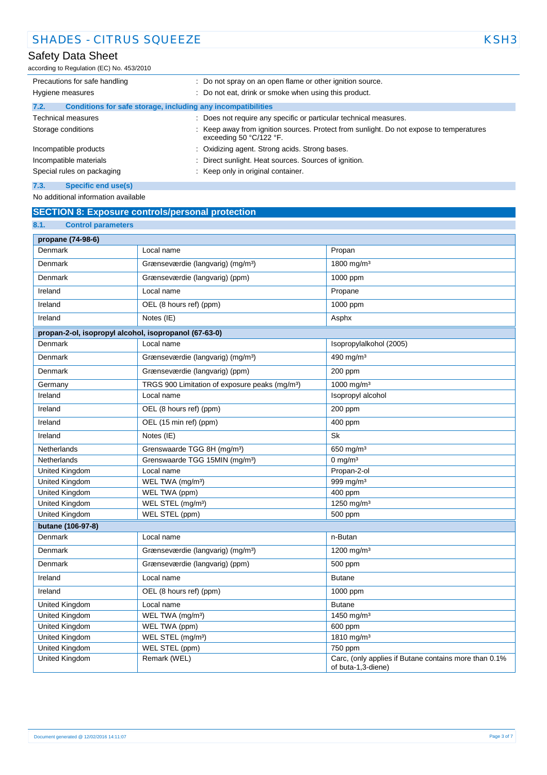according to Regulation (EC) No. 453/2010

| Precautions for safe handling                                        | : Do not spray on an open flame or other ignition source.                                                            |
|----------------------------------------------------------------------|----------------------------------------------------------------------------------------------------------------------|
| Hygiene measures                                                     | : Do not eat, drink or smoke when using this product.                                                                |
| Conditions for safe storage, including any incompatibilities<br>7.2. |                                                                                                                      |
| <b>Technical measures</b>                                            | : Does not require any specific or particular technical measures.                                                    |
| Storage conditions                                                   | : Keep away from ignition sources. Protect from sunlight. Do not expose to temperatures<br>exceeding 50 $°C/122$ °F. |
| Incompatible products                                                | : Oxidizing agent. Strong acids. Strong bases.                                                                       |
| Incompatible materials                                               | Direct sunlight. Heat sources. Sources of ignition.                                                                  |
| Special rules on packaging                                           | : Keep only in original container.                                                                                   |
| 7.3.<br>Specific end use(s)                                          |                                                                                                                      |

No additional information available

## **SECTION 8: Exposure controls/personal protection**

| 8.1.<br><b>Control parameters</b>                     |                                                            |                                                       |  |
|-------------------------------------------------------|------------------------------------------------------------|-------------------------------------------------------|--|
| propane (74-98-6)                                     |                                                            |                                                       |  |
| Denmark                                               | Local name                                                 | Propan                                                |  |
| Denmark                                               | Grænseværdie (langvarig) (mg/m <sup>3</sup> )              | 1800 mg/m <sup>3</sup>                                |  |
| Denmark                                               | Grænseværdie (langvarig) (ppm)                             | 1000 ppm                                              |  |
| Ireland                                               | Local name                                                 | Propane                                               |  |
| Ireland                                               | OEL (8 hours ref) (ppm)                                    | 1000 ppm                                              |  |
| Ireland                                               | Notes (IE)                                                 | Asphx                                                 |  |
| propan-2-ol, isopropyl alcohol, isopropanol (67-63-0) |                                                            |                                                       |  |
| Denmark                                               | Local name                                                 | Isopropylalkohol (2005)                               |  |
| Denmark                                               | Grænseværdie (langvarig) (mg/m <sup>3</sup> )              | 490 mg/m <sup>3</sup>                                 |  |
| Denmark                                               | Grænseværdie (langvarig) (ppm)                             | 200 ppm                                               |  |
| Germany                                               | TRGS 900 Limitation of exposure peaks (mg/m <sup>3</sup> ) | 1000 mg/m <sup>3</sup>                                |  |
| Ireland                                               | Local name                                                 | Isopropyl alcohol                                     |  |
| Ireland                                               | OEL (8 hours ref) (ppm)                                    | 200 ppm                                               |  |
| Ireland                                               | OEL (15 min ref) (ppm)                                     | 400 ppm                                               |  |
| Ireland                                               | Notes (IE)                                                 | Sk                                                    |  |
| Netherlands                                           | Grenswaarde TGG 8H (mg/m <sup>3</sup> )                    | 650 mg/m <sup>3</sup>                                 |  |
| Netherlands                                           | Grenswaarde TGG 15MIN (mg/m <sup>3</sup> )                 | 0 mg/m $3$                                            |  |
| United Kingdom                                        | Local name                                                 | Propan-2-ol                                           |  |
| United Kingdom                                        | WEL TWA (mg/m <sup>3</sup> )                               | 999 mg/m <sup>3</sup>                                 |  |
| <b>United Kingdom</b>                                 | WEL TWA (ppm)                                              | 400 ppm                                               |  |
| United Kingdom                                        | WEL STEL (mg/m <sup>3</sup> )                              | 1250 mg/m <sup>3</sup>                                |  |
| <b>United Kingdom</b>                                 | WEL STEL (ppm)                                             | 500 ppm                                               |  |
| butane (106-97-8)                                     |                                                            |                                                       |  |
| Denmark                                               | Local name                                                 | n-Butan                                               |  |
| Denmark                                               | Grænseværdie (langvarig) (mg/m <sup>3</sup> )              | 1200 mg/m <sup>3</sup>                                |  |
| Denmark                                               | Grænseværdie (langvarig) (ppm)                             | 500 ppm                                               |  |
| Ireland                                               | Local name                                                 | <b>Butane</b>                                         |  |
| Ireland                                               | OEL (8 hours ref) (ppm)                                    | 1000 ppm                                              |  |
| <b>United Kingdom</b>                                 | Local name                                                 | <b>Butane</b>                                         |  |
| United Kingdom                                        | WEL TWA (mg/m <sup>3</sup> )                               | 1450 mg/m <sup>3</sup>                                |  |
| United Kingdom                                        | WEL TWA (ppm)                                              | 600 ppm                                               |  |
| United Kingdom                                        | WEL STEL (mg/m <sup>3</sup> )                              | 1810 mg/m <sup>3</sup>                                |  |
| United Kingdom                                        | WEL STEL (ppm)                                             | 750 ppm                                               |  |
| <b>United Kingdom</b>                                 | Remark (WEL)                                               | Carc, (only applies if Butane contains more than 0.1% |  |
|                                                       |                                                            | of buta-1,3-diene)                                    |  |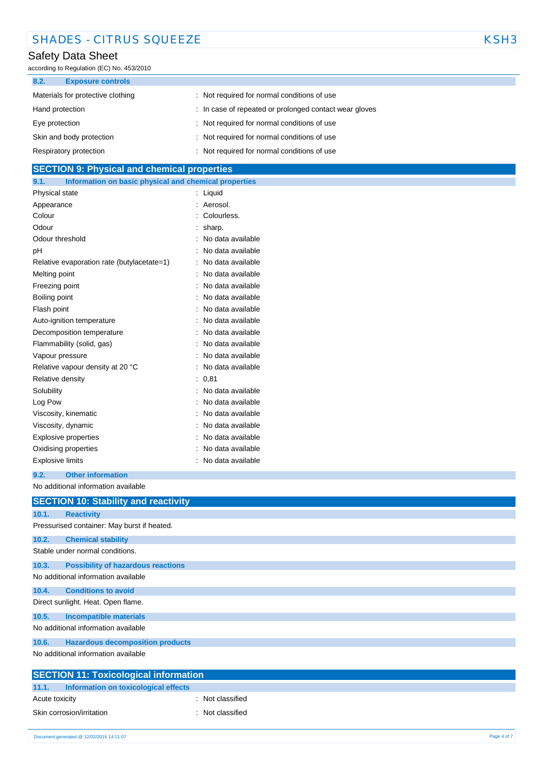| <b>SHADES - CITRUS SQUEEZE</b> | KSH <sub>3</sub> |
|--------------------------------|------------------|
|--------------------------------|------------------|

according to Regulation (EC) No. 453/2010

| 8.2.<br><b>Exposure controls</b>  |                                                        |
|-----------------------------------|--------------------------------------------------------|
| Materials for protective clothing | : Not required for normal conditions of use            |
| Hand protection                   | : In case of repeated or prolonged contact wear gloves |
| Eye protection                    | : Not required for normal conditions of use            |
| Skin and body protection          | : Not required for normal conditions of use            |
| Respiratory protection            | : Not required for normal conditions of use            |

# **SECTION 9: Physical and chemical properties**

| Information on basic physical and chemical properties<br>9.1. |                   |
|---------------------------------------------------------------|-------------------|
| Physical state                                                | Liquid<br>t       |
| Appearance                                                    | Aerosol.          |
| Colour                                                        | Colourless.       |
| Odour                                                         | sharp.            |
| Odour threshold                                               | No data available |
| рH                                                            | No data available |
| Relative evaporation rate (butylacetate=1)                    | No data available |
| Melting point                                                 | No data available |
| Freezing point                                                | No data available |
| Boiling point                                                 | No data available |
| Flash point                                                   | No data available |
| Auto-ignition temperature                                     | No data available |
| Decomposition temperature                                     | No data available |
| Flammability (solid, gas)                                     | No data available |
| Vapour pressure                                               | No data available |
| Relative vapour density at 20 °C                              | No data available |
| Relative density                                              | 0,81              |
| Solubility                                                    | No data available |
| Log Pow                                                       | No data available |
| Viscosity, kinematic                                          | No data available |
| Viscosity, dynamic                                            | No data available |
| <b>Explosive properties</b>                                   | No data available |
| Oxidising properties                                          | No data available |
| <b>Explosive limits</b>                                       | No data available |

### **9.2. Other information**

No additional information available

|                                     | <b>SECTION 10: Stability and reactivity</b>  |  |  |  |
|-------------------------------------|----------------------------------------------|--|--|--|
| 10.1.                               | <b>Reactivity</b>                            |  |  |  |
|                                     | Pressurised container: May burst if heated.  |  |  |  |
| 10.2.                               | <b>Chemical stability</b>                    |  |  |  |
|                                     | Stable under normal conditions.              |  |  |  |
| 10.3.                               | <b>Possibility of hazardous reactions</b>    |  |  |  |
|                                     | No additional information available          |  |  |  |
| 10.4.                               | <b>Conditions to avoid</b>                   |  |  |  |
| Direct sunlight. Heat. Open flame.  |                                              |  |  |  |
| 10.5.                               | <b>Incompatible materials</b>                |  |  |  |
| No additional information available |                                              |  |  |  |
| 10.6.                               | <b>Hazardous decomposition products</b>      |  |  |  |
|                                     | No additional information available          |  |  |  |
|                                     | <b>CECTION 44. Tavicological information</b> |  |  |  |

| <b>SECTION 11: Toxicological information</b> |                  |  |
|----------------------------------------------|------------------|--|
| 11.1. Information on toxicological effects   |                  |  |
| Acute toxicity                               | : Not classified |  |
| Skin corrosion/irritation                    | : Not classified |  |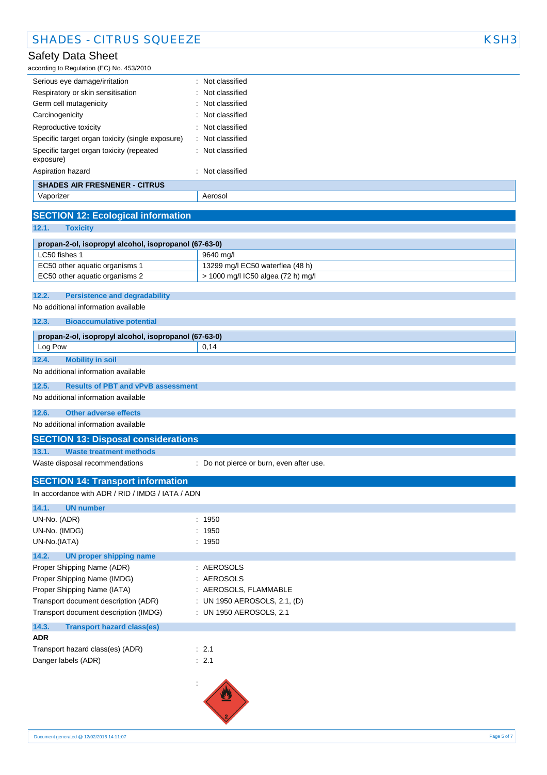according to Regulation (EC) No. 453/2010

| Serious eye damage/irritation                         | : Not classified            |
|-------------------------------------------------------|-----------------------------|
| Respiratory or skin sensitisation                     | $\therefore$ Not classified |
| Germ cell mutagenicity                                | $\therefore$ Not classified |
| Carcinogenicity                                       | : Not classified            |
| Reproductive toxicity                                 | $\therefore$ Not classified |
| Specific target organ toxicity (single exposure)      | : Not classified            |
| Specific target organ toxicity (repeated<br>exposure) | : Not classified            |
| Aspiration hazard                                     | : Not classified            |
| <b>SHADES AIR FRESNENER - CITRUS</b>                  |                             |
| Vaporizer                                             | Aerosol                     |
|                                                       |                             |
| <b>SECTION 12: Ecological information</b>             |                             |

**12.1. Toxicity**

| propan-2-ol, isopropyl alcohol, isopropanol (67-63-0) |                                    |  |
|-------------------------------------------------------|------------------------------------|--|
| LC50 fishes 1                                         | 9640 ma/l                          |  |
| EC50 other aguatic organisms 1                        | 13299 mg/l EC50 waterflea (48 h)   |  |
| EC50 other aquatic organisms 2                        | > 1000 mg/l IC50 algea (72 h) mg/l |  |

#### **12.2. Persistence and degradability**

No additional information available

**12.3. Bioaccumulative potential**

| propan-2-ol, isopropyl alcohol, isopropanol (67-63-0) |                                           |      |
|-------------------------------------------------------|-------------------------------------------|------|
| Log Pow                                               |                                           | 0.14 |
| 12.4.                                                 | <b>Mobility in soil</b>                   |      |
| No additional information available                   |                                           |      |
| 12.5.                                                 | <b>Results of PBT and vPvB assessment</b> |      |
| No additional information available                   |                                           |      |

## **12.6. Other adverse effects**

No additional information available

### **SECTION 13: Disposal considerations**

**13.1. Waste treatment methods**

Waste disposal recommendations : Do not pierce or burn, even after use.

## **SECTION 14: Transport information**

| In accordance with ADR / RID / IMDG / IATA / ADN |                              |
|--------------------------------------------------|------------------------------|
| 14.1.<br><b>UN number</b>                        |                              |
| UN-No. (ADR)                                     | : 1950                       |
| UN-No. (IMDG)                                    | : 1950                       |
| UN-No.(IATA)                                     | : 1950                       |
| 14.2.<br>UN proper shipping name                 |                              |
| Proper Shipping Name (ADR)                       | : AEROSOLS                   |
| Proper Shipping Name (IMDG)                      | : AEROSOLS                   |
| Proper Shipping Name (IATA)                      | : AEROSOLS, FLAMMABLE        |
| Transport document description (ADR)             | : UN 1950 AEROSOLS, 2.1, (D) |
| Transport document description (IMDG)            | : UN 1950 AEROSOLS, 2.1      |
| 14.3.<br><b>Transport hazard class(es)</b>       |                              |
| <b>ADR</b>                                       |                              |
| Transport hazard class(es) (ADR)                 | : 2.1                        |
| Danger labels (ADR)                              | : 2.1                        |
|                                                  |                              |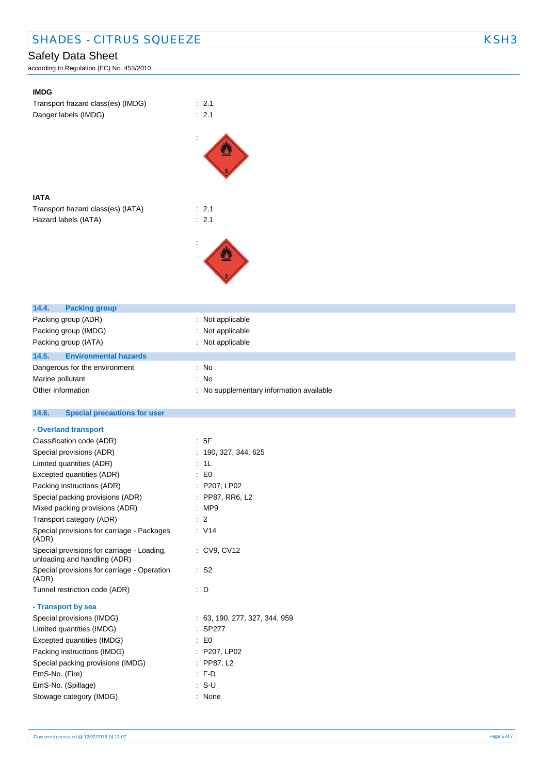according to Regulation (EC) No. 453/2010

| <b>IMDG</b>                                                |                                          |
|------------------------------------------------------------|------------------------------------------|
| Transport hazard class(es) (IMDG)                          | : 2.1                                    |
| Danger labels (IMDG)                                       | : 2.1                                    |
|                                                            |                                          |
|                                                            |                                          |
|                                                            |                                          |
|                                                            |                                          |
|                                                            |                                          |
|                                                            |                                          |
| <b>IATA</b>                                                |                                          |
| Transport hazard class(es) (IATA)                          | : 2.1                                    |
| Hazard labels (IATA)                                       | : 2.1                                    |
|                                                            |                                          |
|                                                            |                                          |
|                                                            |                                          |
|                                                            |                                          |
|                                                            |                                          |
|                                                            |                                          |
| 14.4.<br><b>Packing group</b>                              |                                          |
| Packing group (ADR)                                        | : Not applicable                         |
| Packing group (IMDG)                                       | Not applicable                           |
| Packing group (IATA)                                       | : Not applicable                         |
| 14.5.<br><b>Environmental hazards</b>                      |                                          |
| Dangerous for the environment                              | : No                                     |
| Marine pollutant                                           | : No                                     |
| Other information                                          | : No supplementary information available |
|                                                            |                                          |
|                                                            |                                          |
| 14.6.                                                      |                                          |
| <b>Special precautions for user</b>                        |                                          |
| - Overland transport                                       |                                          |
| Classification code (ADR)                                  | : 5F                                     |
| Special provisions (ADR)                                   | : 190, 327, 344, 625                     |
| Limited quantities (ADR)                                   | : 1L                                     |
| Excepted quantities (ADR)                                  | $\colon$ EO                              |
| Packing instructions (ADR)                                 | : P207, LP02                             |
| Special packing provisions (ADR)                           | : PP87, RR6, L2                          |
| Mixed packing provisions (ADR)<br>Transport category (ADR) | : MP9<br>: 2                             |
| Special provisions for carriage - Packages                 | : V14                                    |
| (ADR)                                                      |                                          |
| Special provisions for carriage - Loading,                 | : CV9, CV12                              |
| unloading and handling (ADR)                               |                                          |
| Special provisions for carriage - Operation<br>(ADR)       | $\therefore$ S2                          |
| Tunnel restriction code (ADR)                              | : D                                      |
|                                                            |                                          |
| - Transport by sea                                         |                                          |
| Special provisions (IMDG)                                  | : 63, 190, 277, 327, 344, 959            |
| Limited quantities (IMDG)                                  | : SP277                                  |
| Excepted quantities (IMDG)                                 | $\therefore$ EO                          |
| Packing instructions (IMDG)                                | : P207, LP02                             |
| Special packing provisions (IMDG)                          | : PP87, L2<br>$: F-D$                    |
| EmS-No. (Fire)<br>EmS-No. (Spillage)                       | $: S-U$                                  |